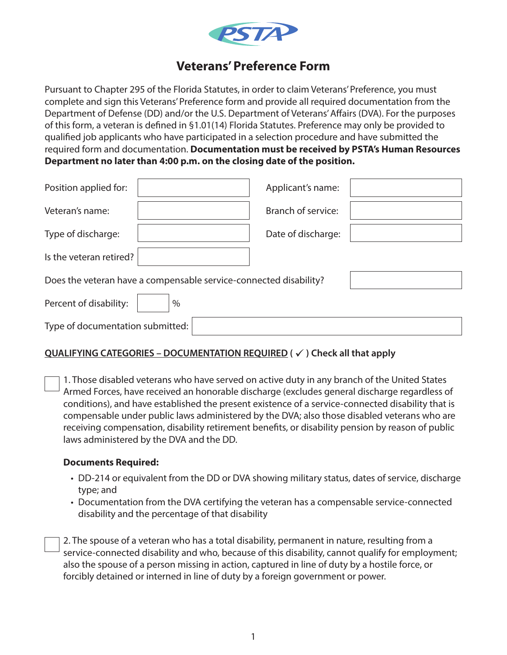

# **Veterans' Preference Form**

Pursuant to Chapter 295 of the Florida Statutes, in order to claim Veterans' Preference, you must complete and sign this Veterans' Preference form and provide all required documentation from the Department of Defense (DD) and/or the U.S. Department of Veterans' Affairs (DVA). For the purposes of this form, a veteran is defined in §1.01(14) Florida Statutes. Preference may only be provided to qualified job applicants who have participated in a selection procedure and have submitted the required form and documentation. **Documentation must be received by PSTA's Human Resources Department no later than 4:00 p.m. on the closing date of the position.**

| Position applied for:                                             |      | Applicant's name:  |  |  |  |  |
|-------------------------------------------------------------------|------|--------------------|--|--|--|--|
| Veteran's name:                                                   |      | Branch of service: |  |  |  |  |
| Type of discharge:                                                |      | Date of discharge: |  |  |  |  |
| Is the veteran retired?                                           |      |                    |  |  |  |  |
| Does the veteran have a compensable service-connected disability? |      |                    |  |  |  |  |
| Percent of disability:                                            | $\%$ |                    |  |  |  |  |
| Type of documentation submitted:                                  |      |                    |  |  |  |  |

### **QUALIFYING CATEGORIES − DOCUMENTATION REQUIRED (**√) Check all that apply

1. Those disabled veterans who have served on active duty in any branch of the United States Armed Forces, have received an honorable discharge (excludes general discharge regardless of conditions), and have established the present existence of a service-connected disability that is compensable under public laws administered by the DVA; also those disabled veterans who are receiving compensation, disability retirement benefits, or disability pension by reason of public laws administered by the DVA and the DD.

#### **Documents Required:**

- DD-214 or equivalent from the DD or DVA showing military status, dates of service, discharge type; and
- Documentation from the DVA certifying the veteran has a compensable service-connected disability and the percentage of that disability

2. The spouse of a veteran who has a total disability, permanent in nature, resulting from a service-connected disability and who, because of this disability, cannot qualify for employment; also the spouse of a person missing in action, captured in line of duty by a hostile force, or forcibly detained or interned in line of duty by a foreign government or power.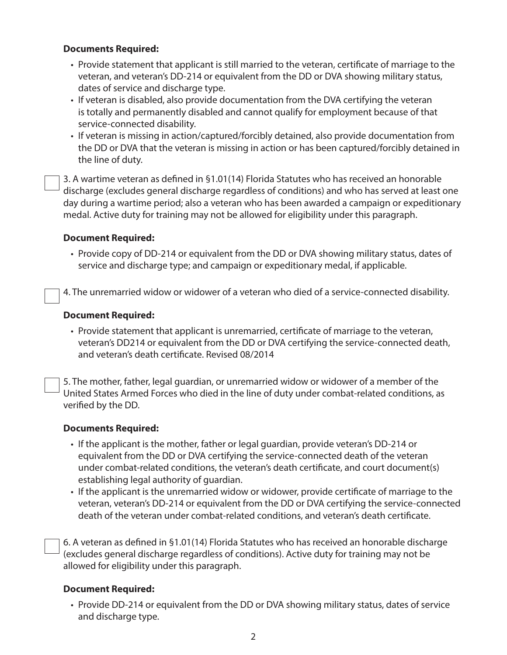#### **Documents Required:**

- Provide statement that applicant is still married to the veteran, certificate of marriage to the veteran, and veteran's DD-214 or equivalent from the DD or DVA showing military status, dates of service and discharge type.
- If veteran is disabled, also provide documentation from the DVA certifying the veteran is totally and permanently disabled and cannot qualify for employment because of that service-connected disability.
- If veteran is missing in action/captured/forcibly detained, also provide documentation from the DD or DVA that the veteran is missing in action or has been captured/forcibly detained in the line of duty.

3. A wartime veteran as defined in §1.01(14) Florida Statutes who has received an honorable discharge (excludes general discharge regardless of conditions) and who has served at least one day during a wartime period; also a veteran who has been awarded a campaign or expeditionary medal. Active duty for training may not be allowed for eligibility under this paragraph.

#### **Document Required:**

• Provide copy of DD-214 or equivalent from the DD or DVA showing military status, dates of service and discharge type; and campaign or expeditionary medal, if applicable.

4. The unremarried widow or widower of a veteran who died of a service-connected disability.

#### **Document Required:**

• Provide statement that applicant is unremarried, certificate of marriage to the veteran, veteran's DD214 or equivalent from the DD or DVA certifying the service-connected death, and veteran's death certificate. Revised 08/2014

5. The mother, father, legal guardian, or unremarried widow or widower of a member of the United States Armed Forces who died in the line of duty under combat-related conditions, as verified by the DD.

#### **Documents Required:**

- If the applicant is the mother, father or legal guardian, provide veteran's DD-214 or equivalent from the DD or DVA certifying the service-connected death of the veteran under combat-related conditions, the veteran's death certificate, and court document(s) establishing legal authority of guardian.
- If the applicant is the unremarried widow or widower, provide certificate of marriage to the veteran, veteran's DD-214 or equivalent from the DD or DVA certifying the service-connected death of the veteran under combat-related conditions, and veteran's death certificate.

6. A veteran as defined in §1.01(14) Florida Statutes who has received an honorable discharge (excludes general discharge regardless of conditions). Active duty for training may not be allowed for eligibility under this paragraph.

#### **Document Required:**

• Provide DD-214 or equivalent from the DD or DVA showing military status, dates of service and discharge type.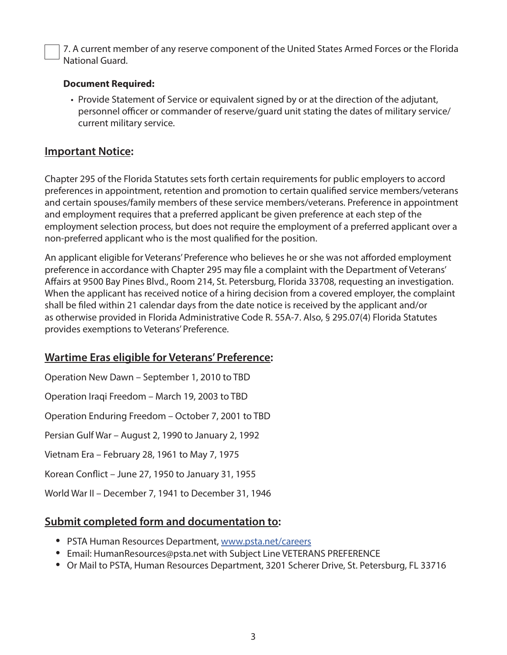7. A current member of any reserve component of the United States Armed Forces or the Florida National Guard.

### **Document Required:**

• Provide Statement of Service or equivalent signed by or at the direction of the adjutant, personnel officer or commander of reserve/guard unit stating the dates of military service/ current military service.

### **Important Notice:**

Chapter 295 of the Florida Statutes sets forth certain requirements for public employers to accord preferences in appointment, retention and promotion to certain qualified service members/veterans and certain spouses/family members of these service members/veterans. Preference in appointment and employment requires that a preferred applicant be given preference at each step of the employment selection process, but does not require the employment of a preferred applicant over a non-preferred applicant who is the most qualified for the position.

An applicant eligible for Veterans' Preference who believes he or she was not afforded employment preference in accordance with Chapter 295 may file a complaint with the Department of Veterans' Affairs at 9500 Bay Pines Blvd., Room 214, St. Petersburg, Florida 33708, requesting an investigation. When the applicant has received notice of a hiring decision from a covered employer, the complaint shall be filed within 21 calendar days from the date notice is received by the applicant and/or as otherwise provided in Florida Administrative Code R. 55A-7. Also, § 295.07(4) Florida Statutes provides exemptions to Veterans' Preference.

## **Wartime Eras eligible for Veterans' Preference:**

Operation New Dawn – September 1, 2010 to TBD Operation Iraqi Freedom – March 19, 2003 to TBD Operation Enduring Freedom – October 7, 2001 to TBD Persian Gulf War – August 2, 1990 to January 2, 1992 Vietnam Era – February 28, 1961 to May 7, 1975 Korean Conflict – June 27, 1950 to January 31, 1955 World War II – December 7, 1941 to December 31, 1946

## **Submit completed form and documentation to:**

- **•** PSTA Human Resources Department, www.psta.net/careers
- **•** Email: HumanResources@psta.net with Subject Line VETERANS PREFERENCE
- **•** Or Mail to PSTA, Human Resources Department, 3201 Scherer Drive, St. Petersburg, FL 33716